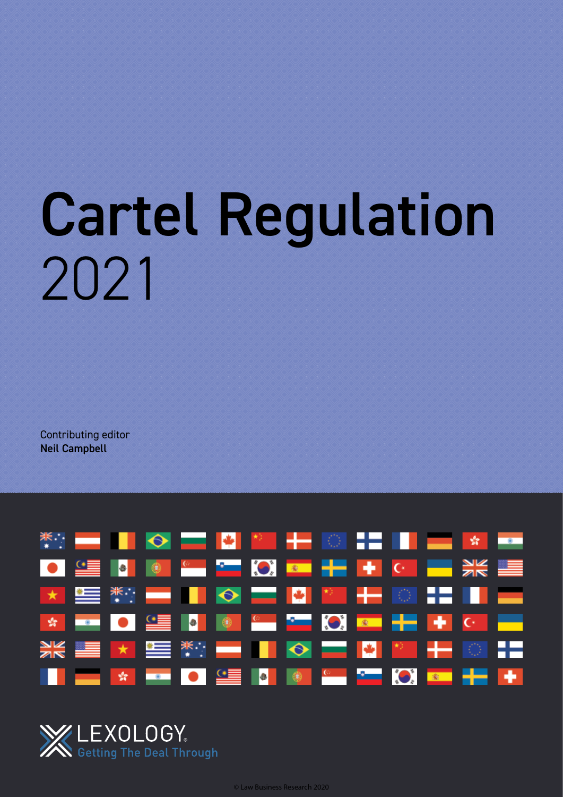# Cartel Regulation 2021

Contributing editor Neil Campbell



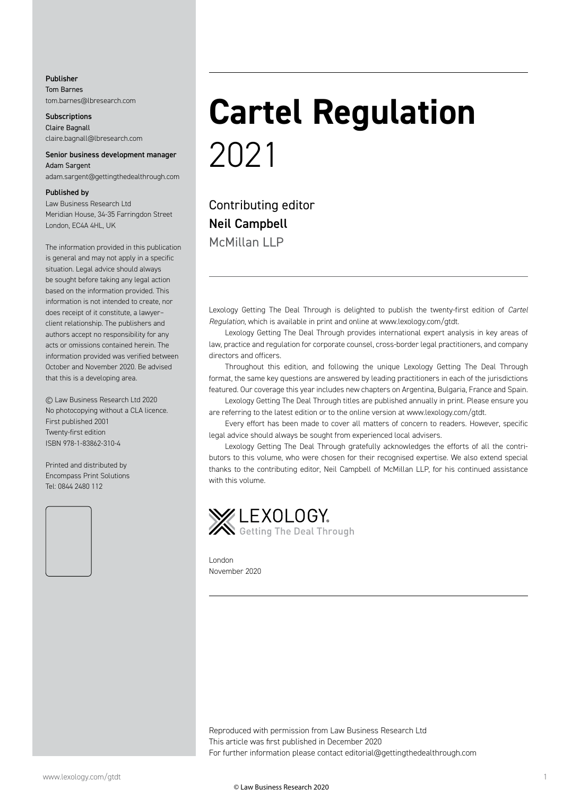#### Publisher Tom Barnes tom.barnes@lbresearch.com

**Subscriptions** Claire Bagnall claire.bagnall@lbresearch.com

#### Senior business development manager Adam Sargent

adam.sargent@gettingthedealthrough.com

#### Published by

Law Business Research Ltd Meridian House, 34-35 Farringdon Street London, EC4A 4HL, UK

The information provided in this publication is general and may not apply in a specific situation. Legal advice should always be sought before taking any legal action based on the information provided. This information is not intended to create, nor does receipt of it constitute, a lawyer– client relationship. The publishers and authors accept no responsibility for any acts or omissions contained herein. The information provided was verified between October and November 2020. Be advised that this is a developing area.

© Law Business Research Ltd 2020 No photocopying without a CLA licence. First published 2001 Twenty-first edition ISBN 978-1-83862-310-4

Printed and distributed by Encompass Print Solutions Tel: 0844 2480 112



### **Cartel Regulation** 2021

Contributing editor Neil Campbell McMillan IIP

Lexology Getting The Deal Through is delighted to publish the twenty-first edition of *Cartel Regulation*, which is available in print and online at www.lexology.com/gtdt.

Lexology Getting The Deal Through provides international expert analysis in key areas of law, practice and regulation for corporate counsel, cross-border legal practitioners, and company directors and officers.

Throughout this edition, and following the unique Lexology Getting The Deal Through format, the same key questions are answered by leading practitioners in each of the jurisdictions featured. Our coverage this year includes new chapters on Argentina, Bulgaria, France and Spain.

Lexology Getting The Deal Through titles are published annually in print. Please ensure you are referring to the latest edition or to the online version at www.lexology.com/gtdt.

Every effort has been made to cover all matters of concern to readers. However, specific legal advice should always be sought from experienced local advisers.

Lexology Getting The Deal Through gratefully acknowledges the efforts of all the contributors to this volume, who were chosen for their recognised expertise. We also extend special thanks to the contributing editor, Neil Campbell of McMillan LLP, for his continued assistance with this volume.



London November 2020

Reproduced with permission from Law Business Research Ltd This article was first published in December 2020 For further information please contact editorial@gettingthedealthrough.com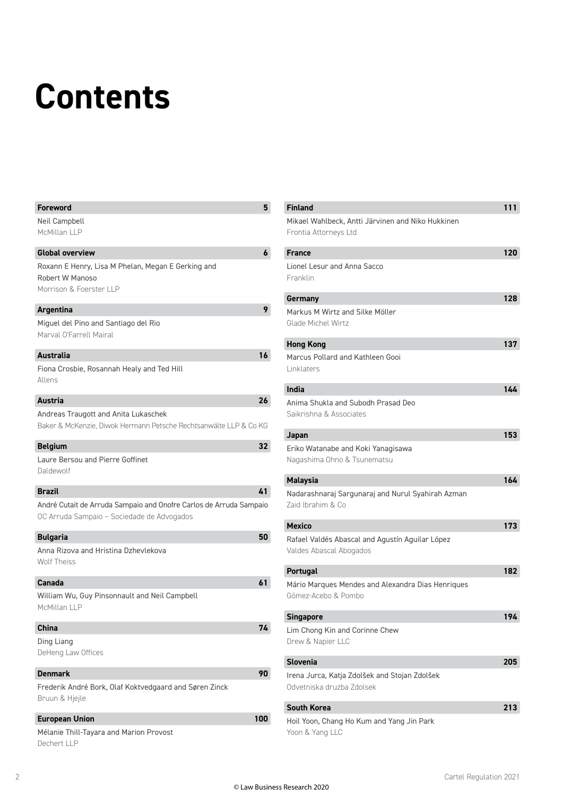### **Contents**

| <b>Foreword</b>                                                    | 5   |
|--------------------------------------------------------------------|-----|
| Neil Campbell                                                      |     |
| McMillan LLP                                                       |     |
|                                                                    |     |
| <b>Global overview</b>                                             | 6   |
| Roxann E Henry, Lisa M Phelan, Megan E Gerking and                 |     |
| Robert W Manoso                                                    |     |
| Morrison & Foerster LLP                                            |     |
| <b>Argentina</b>                                                   | 9   |
| Miguel del Pino and Santiago del Rio                               |     |
| Marval O'Farrell Mairal                                            |     |
|                                                                    |     |
| <b>Australia</b>                                                   | 16  |
| Fiona Crosbie, Rosannah Healy and Ted Hill                         |     |
| Allens                                                             |     |
| <b>Austria</b>                                                     | 26  |
|                                                                    |     |
| Andreas Traugott and Anita Lukaschek                               |     |
| Baker & McKenzie, Diwok Hermann Petsche Rechtsanwälte LLP & Co KG  |     |
| <b>Belgium</b>                                                     | 32  |
| Laure Bersou and Pierre Goffinet                                   |     |
| Daldewolf                                                          |     |
|                                                                    |     |
| <b>Brazil</b>                                                      | 41  |
| André Cutait de Arruda Sampaio and Onofre Carlos de Arruda Sampaio |     |
| OC Arruda Sampaio - Sociedade de Advogados                         |     |
| <b>Bulgaria</b>                                                    | 50  |
| Anna Rizova and Hristina Dzhevlekova                               |     |
| <b>Wolf Theiss</b>                                                 |     |
|                                                                    |     |
| Canada                                                             | 61  |
| William Wu, Guy Pinsonnault and Neil Campbell                      |     |
| McMillan LLP                                                       |     |
|                                                                    |     |
| <b>China</b>                                                       | 74  |
| Ding Liang                                                         |     |
| DeHeng Law Offices                                                 |     |
| Denmark                                                            | 90  |
| Frederik André Bork, Olaf Koktvedgaard and Søren Zinck             |     |
| Bruun & Hjejle                                                     |     |
|                                                                    |     |
| <b>European Union</b>                                              | 100 |
| Mélanie Thill-Tayara and Marion Provost                            |     |
| Dechert LLP                                                        |     |

| <b>Finland</b>                                                             | 111 |
|----------------------------------------------------------------------------|-----|
| Mikael Wahlbeck, Antti Järvinen and Niko Hukkinen                          |     |
| Frontia Attorneys Ltd                                                      |     |
| <b>France</b>                                                              | 120 |
| Lionel Lesur and Anna Sacco                                                |     |
| Franklin                                                                   |     |
|                                                                            |     |
| Germany                                                                    | 128 |
| Markus M Wirtz and Silke Möller                                            |     |
| Glade Michel Wirtz                                                         |     |
| <b>Hong Kong</b>                                                           | 137 |
| Marcus Pollard and Kathleen Gooi                                           |     |
| Linklaters                                                                 |     |
| India                                                                      | 144 |
| Anima Shukla and Subodh Prasad Deo                                         |     |
| Saikrishna & Associates                                                    |     |
|                                                                            |     |
| Japan                                                                      | 153 |
| Eriko Watanabe and Koki Yanagisawa                                         |     |
| Nagashima Ohno & Tsunematsu                                                |     |
| <b>Malaysia</b>                                                            | 164 |
| Nadarashnaraj Sargunaraj and Nurul Syahirah Azman                          |     |
| Zaid Ibrahim & Co                                                          |     |
| <b>Mexico</b>                                                              | 173 |
| Rafael Valdés Abascal and Agustín Aguilar López                            |     |
| Valdes Abascal Abogados                                                    |     |
|                                                                            |     |
| <b>Portugal</b>                                                            | 182 |
| Mário Marques Mendes and Alexandra Dias Henriques                          |     |
| Gómez-Acebo & Pombo                                                        |     |
| <b>Singapore</b>                                                           | 194 |
| Lim Chong Kin and Corinne Chew                                             |     |
|                                                                            |     |
| Drew & Napier LLC                                                          |     |
|                                                                            |     |
| <b>Slovenia</b>                                                            | 205 |
| Irena Jurca, Katja Zdolšek and Stojan Zdolšek<br>Odvetniska druzba Zdolsek |     |
|                                                                            |     |
| <b>South Korea</b>                                                         | 213 |
| Hoil Yoon, Chang Ho Kum and Yang Jin Park<br>Yoon & Yang LLC               |     |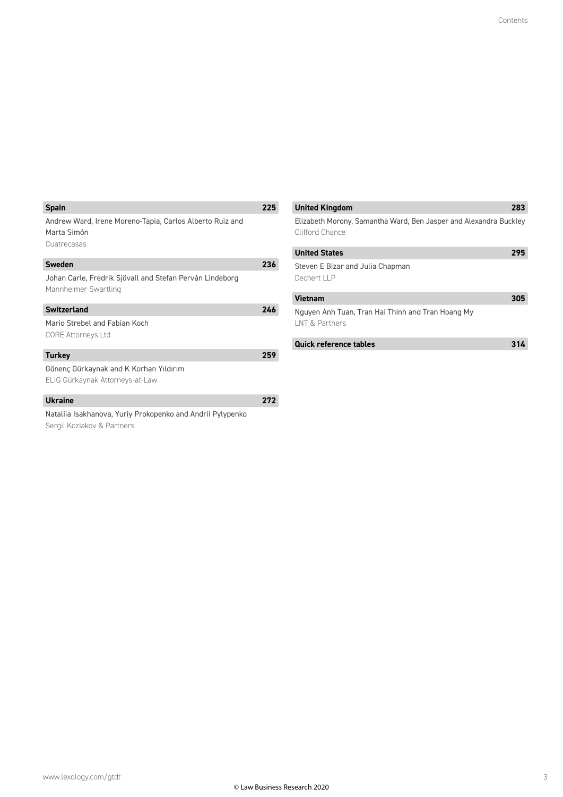| <b>Spain</b>                                                                           | 225 |
|----------------------------------------------------------------------------------------|-----|
| Andrew Ward, Irene Moreno-Tapia, Carlos Alberto Ruiz and<br>Marta Simón<br>Cuatrecasas |     |
| Sweden                                                                                 | 236 |
| Johan Carle, Fredrik Sjövall and Stefan Perván Lindeborg<br>Mannheimer Swartling       |     |
| <b>Switzerland</b>                                                                     | 246 |
| Mario Strebel and Fabian Koch<br><b>CORE Attorneys Ltd</b>                             |     |
| <b>Turkey</b>                                                                          | 259 |
| Gönenç Gürkaynak and K Korhan Yıldırım<br>ELIG Gürkaynak Attorneys-at-Law              |     |
| <b>Ukraine</b>                                                                         |     |

| Quick reference tables                                              | L   |
|---------------------------------------------------------------------|-----|
| Nguyen Anh Tuan, Tran Hai Thinh and Tran Hoang My<br>INT & Partners |     |
| <b>Vietnam</b>                                                      | 305 |
| Steven E Bizar and Julia Chapman<br>Dechert LLP                     |     |
| <b>United States</b>                                                | 295 |
| Clifford Chance                                                     |     |

**United Kingdom 283** Elizabeth Morony, Samantha Ward, Ben Jasper and Alexandra Buckley

Nataliia Isakhanova, Yuriy Prokopenko and Andrii Pylypenko Sergii Koziakov & Partners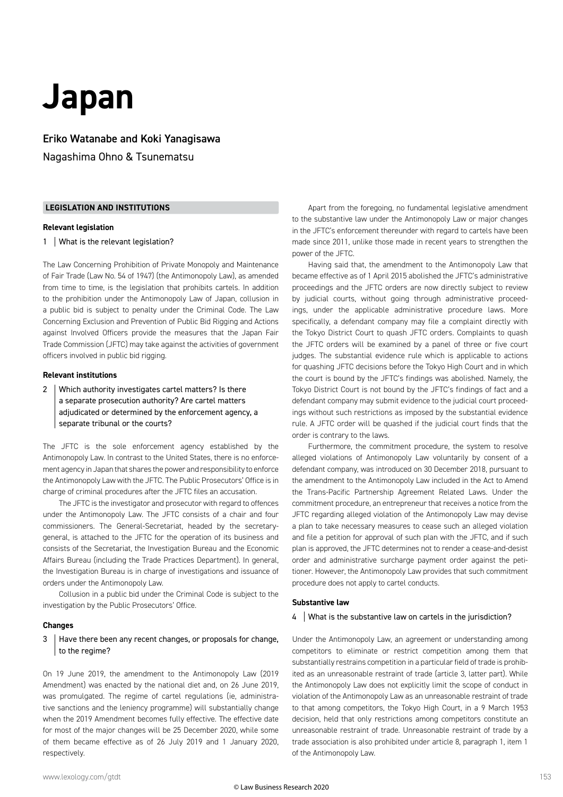### **Japan**

Eriko Watanabe and Koki Yanagisawa Nagashima Ohno & Tsunematsu

#### **LEGISLATION AND INSTITUTIONS**

#### **Relevant legislation**

1 | What is the relevant legislation?

The Law Concerning Prohibition of Private Monopoly and Maintenance of Fair Trade (Law No. 54 of 1947) (the Antimonopoly Law), as amended from time to time, is the legislation that prohibits cartels. In addition to the prohibition under the Antimonopoly Law of Japan, collusion in a public bid is subject to penalty under the Criminal Code. The Law Concerning Exclusion and Prevention of Public Bid Rigging and Actions against Involved Officers provide the measures that the Japan Fair Trade Commission (JFTC) may take against the activities of government officers involved in public bid rigging.

#### **Relevant institutions**

2 Which authority investigates cartel matters? Is there a separate prosecution authority? Are cartel matters adjudicated or determined by the enforcement agency, a separate tribunal or the courts?

The JFTC is the sole enforcement agency established by the Antimonopoly Law. In contrast to the United States, there is no enforcement agency in Japan that shares the power and responsibility to enforce the Antimonopoly Law with the JFTC. The Public Prosecutors' Office is in charge of criminal procedures after the JFTC files an accusation.

The JFTC is the investigator and prosecutor with regard to offences under the Antimonopoly Law. The JFTC consists of a chair and four commissioners. The General-Secretariat, headed by the secretarygeneral, is attached to the JFTC for the operation of its business and consists of the Secretariat, the Investigation Bureau and the Economic Affairs Bureau (including the Trade Practices Department). In general, the Investigation Bureau is in charge of investigations and issuance of orders under the Antimonopoly Law.

Collusion in a public bid under the Criminal Code is subject to the investigation by the Public Prosecutors' Office.

#### **Changes**

#### 3 Have there been any recent changes, or proposals for change, to the regime?

On 19 June 2019, the amendment to the Antimonopoly Law (2019 Amendment) was enacted by the national diet and, on 26 June 2019, was promulgated. The regime of cartel regulations (ie, administrative sanctions and the leniency programme) will substantially change when the 2019 Amendment becomes fully effective. The effective date for most of the major changes will be 25 December 2020, while some of them became effective as of 26 July 2019 and 1 January 2020, respectively.

Apart from the foregoing, no fundamental legislative amendment to the substantive law under the Antimonopoly Law or major changes in the JFTC's enforcement thereunder with regard to cartels have been made since 2011, unlike those made in recent years to strengthen the power of the JFTC.

Having said that, the amendment to the Antimonopoly Law that became effective as of 1 April 2015 abolished the JFTC's administrative proceedings and the JFTC orders are now directly subject to review by judicial courts, without going through administrative proceedings, under the applicable administrative procedure laws. More specifically, a defendant company may file a complaint directly with the Tokyo District Court to quash JFTC orders. Complaints to quash the JFTC orders will be examined by a panel of three or five court judges. The substantial evidence rule which is applicable to actions for quashing JFTC decisions before the Tokyo High Court and in which the court is bound by the JFTC's findings was abolished. Namely, the Tokyo District Court is not bound by the JFTC's findings of fact and a defendant company may submit evidence to the judicial court proceedings without such restrictions as imposed by the substantial evidence rule. A JFTC order will be quashed if the judicial court finds that the order is contrary to the laws.

Furthermore, the commitment procedure, the system to resolve alleged violations of Antimonopoly Law voluntarily by consent of a defendant company, was introduced on 30 December 2018, pursuant to the amendment to the Antimonopoly Law included in the Act to Amend the Trans-Pacific Partnership Agreement Related Laws. Under the commitment procedure, an entrepreneur that receives a notice from the JFTC regarding alleged violation of the Antimonopoly Law may devise a plan to take necessary measures to cease such an alleged violation and file a petition for approval of such plan with the JFTC, and if such plan is approved, the JFTC determines not to render a cease-and-desist order and administrative surcharge payment order against the petitioner. However, the Antimonopoly Law provides that such commitment procedure does not apply to cartel conducts.

#### **Substantive law**

#### 4 | What is the substantive law on cartels in the jurisdiction?

Under the Antimonopoly Law, an agreement or understanding among competitors to eliminate or restrict competition among them that substantially restrains competition in a particular field of trade is prohibited as an unreasonable restraint of trade (article 3, latter part). While the Antimonopoly Law does not explicitly limit the scope of conduct in violation of the Antimonopoly Law as an unreasonable restraint of trade to that among competitors, the Tokyo High Court, in a 9 March 1953 decision, held that only restrictions among competitors constitute an unreasonable restraint of trade. Unreasonable restraint of trade by a trade association is also prohibited under article 8, paragraph 1, item 1 of the Antimonopoly Law.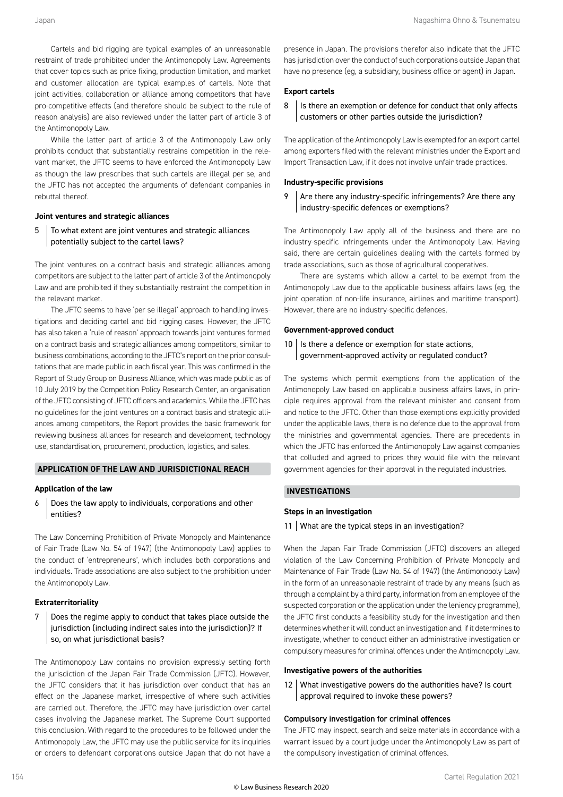Cartels and bid rigging are typical examples of an unreasonable restraint of trade prohibited under the Antimonopoly Law. Agreements that cover topics such as price fixing, production limitation, and market and customer allocation are typical examples of cartels. Note that joint activities, collaboration or alliance among competitors that have pro-competitive effects (and therefore should be subject to the rule of reason analysis) are also reviewed under the latter part of article 3 of the Antimonopoly Law.

While the latter part of article 3 of the Antimonopoly Law only prohibits conduct that substantially restrains competition in the relevant market, the JFTC seems to have enforced the Antimonopoly Law as though the law prescribes that such cartels are illegal per se, and the JFTC has not accepted the arguments of defendant companies in rebuttal thereof.

#### **Joint ventures and strategic alliances**

5 To what extent are joint ventures and strategic alliances potentially subject to the cartel laws?

The joint ventures on a contract basis and strategic alliances among competitors are subject to the latter part of article 3 of the Antimonopoly Law and are prohibited if they substantially restraint the competition in the relevant market.

The JFTC seems to have 'per se illegal' approach to handling investigations and deciding cartel and bid rigging cases. However, the JFTC has also taken a 'rule of reason' approach towards joint ventures formed on a contract basis and strategic alliances among competitors, similar to business combinations, according to the JFTC's report on the prior consultations that are made public in each fiscal year. This was confirmed in the Report of Study Group on Business Alliance, which was made public as of 10 July 2019 by the Competition Policy Research Center, an organisation of the JFTC consisting of JFTC officers and academics. While the JFTC has no guidelines for the joint ventures on a contract basis and strategic alliances among competitors, the Report provides the basic framework for reviewing business alliances for research and development, technology use, standardisation, procurement, production, logistics, and sales.

#### **APPLICATION OF THE LAW AND JURISDICTIONAL REACH**

#### **Application of the law**

6 Does the law apply to individuals, corporations and other entities?

The Law Concerning Prohibition of Private Monopoly and Maintenance of Fair Trade (Law No. 54 of 1947) (the Antimonopoly Law) applies to the conduct of 'entrepreneurs', which includes both corporations and individuals. Trade associations are also subject to the prohibition under the Antimonopoly Law.

#### **Extraterritoriality**

#### 7 Does the regime apply to conduct that takes place outside the jurisdiction (including indirect sales into the jurisdiction)? If so, on what jurisdictional basis?

The Antimonopoly Law contains no provision expressly setting forth the jurisdiction of the Japan Fair Trade Commission (JFTC). However, the JFTC considers that it has jurisdiction over conduct that has an effect on the Japanese market, irrespective of where such activities are carried out. Therefore, the JFTC may have jurisdiction over cartel cases involving the Japanese market. The Supreme Court supported this conclusion. With regard to the procedures to be followed under the Antimonopoly Law, the JFTC may use the public service for its inquiries or orders to defendant corporations outside Japan that do not have a

presence in Japan. The provisions therefor also indicate that the JFTC has jurisdiction over the conduct of such corporations outside Japan that have no presence (eg, a subsidiary, business office or agent) in Japan.

#### **Export cartels**

8 | Is there an exemption or defence for conduct that only affects customers or other parties outside the jurisdiction?

The application of the Antimonopoly Law is exempted for an export cartel among exporters filed with the relevant ministries under the Export and Import Transaction Law, if it does not involve unfair trade practices.

#### **Industry-specific provisions**

#### $9$  Are there any industry-specific infringements? Are there any industry-specific defences or exemptions?

The Antimonopoly Law apply all of the business and there are no industry-specific infringements under the Antimonopoly Law. Having said, there are certain guidelines dealing with the cartels formed by trade associations, such as those of agricultural cooperatives.

There are systems which allow a cartel to be exempt from the Antimonopoly Law due to the applicable business affairs laws (eg, the joint operation of non-life insurance, airlines and maritime transport). However, there are no industry-specific defences.

#### **Government-approved conduct**

 $10$  Is there a defence or exemption for state actions, government-approved activity or regulated conduct?

The systems which permit exemptions from the application of the Antimonopoly Law based on applicable business affairs laws, in principle requires approval from the relevant minister and consent from and notice to the JFTC. Other than those exemptions explicitly provided under the applicable laws, there is no defence due to the approval from the ministries and governmental agencies. There are precedents in which the JFTC has enforced the Antimonopoly Law against companies that colluded and agreed to prices they would file with the relevant government agencies for their approval in the regulated industries.

#### **INVESTIGATIONS**

#### **Steps in an investigation**

#### 11 What are the typical steps in an investigation?

When the Japan Fair Trade Commission (JFTC) discovers an alleged violation of the Law Concerning Prohibition of Private Monopoly and Maintenance of Fair Trade (Law No. 54 of 1947) (the Antimonopoly Law) in the form of an unreasonable restraint of trade by any means (such as through a complaint by a third party, information from an employee of the suspected corporation or the application under the leniency programme), the JFTC first conducts a feasibility study for the investigation and then determines whether it will conduct an investigation and, if it determines to investigate, whether to conduct either an administrative investigation or compulsory measures for criminal offences under the Antimonopoly Law.

#### **Investigative powers of the authorities**

12 What investigative powers do the authorities have? Is court approval required to invoke these powers?

#### Compulsory investigation for criminal offences

The JFTC may inspect, search and seize materials in accordance with a warrant issued by a court judge under the Antimonopoly Law as part of the compulsory investigation of criminal offences.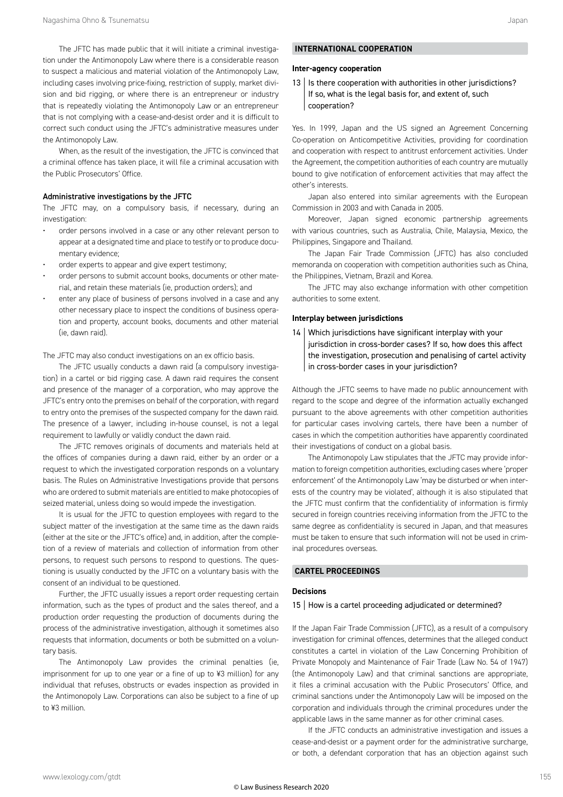The JFTC has made public that it will initiate a criminal investigation under the Antimonopoly Law where there is a considerable reason to suspect a malicious and material violation of the Antimonopoly Law, including cases involving price-fixing, restriction of supply, market division and bid rigging, or where there is an entrepreneur or industry that is repeatedly violating the Antimonopoly Law or an entrepreneur that is not complying with a cease-and-desist order and it is difficult to correct such conduct using the JFTC's administrative measures under the Antimonopoly Law.

When, as the result of the investigation, the JFTC is convinced that a criminal offence has taken place, it will file a criminal accusation with the Public Prosecutors' Office.

#### Administrative investigations by the JFTC

The JFTC may, on a compulsory basis, if necessary, during an investigation:

- order persons involved in a case or any other relevant person to appear at a designated time and place to testify or to produce documentary evidence;
- order experts to appear and give expert testimony;
- order persons to submit account books, documents or other material, and retain these materials (ie, production orders); and
- enter any place of business of persons involved in a case and any other necessary place to inspect the conditions of business operation and property, account books, documents and other material (ie, dawn raid).

The JFTC may also conduct investigations on an ex officio basis.

The JFTC usually conducts a dawn raid (a compulsory investigation) in a cartel or bid rigging case. A dawn raid requires the consent and presence of the manager of a corporation, who may approve the JFTC's entry onto the premises on behalf of the corporation, with regard to entry onto the premises of the suspected company for the dawn raid. The presence of a lawyer, including in-house counsel, is not a legal requirement to lawfully or validly conduct the dawn raid.

The JFTC removes originals of documents and materials held at the offices of companies during a dawn raid, either by an order or a request to which the investigated corporation responds on a voluntary basis. The Rules on Administrative Investigations provide that persons who are ordered to submit materials are entitled to make photocopies of seized material, unless doing so would impede the investigation.

It is usual for the JFTC to question employees with regard to the subject matter of the investigation at the same time as the dawn raids (either at the site or the JFTC's office) and, in addition, after the completion of a review of materials and collection of information from other persons, to request such persons to respond to questions. The questioning is usually conducted by the JFTC on a voluntary basis with the consent of an individual to be questioned.

Further, the JFTC usually issues a report order requesting certain information, such as the types of product and the sales thereof, and a production order requesting the production of documents during the process of the administrative investigation, although it sometimes also requests that information, documents or both be submitted on a voluntary basis.

The Antimonopoly Law provides the criminal penalties (ie, imprisonment for up to one year or a fine of up to ¥3 million) for any individual that refuses, obstructs or evades inspection as provided in the Antimonopoly Law. Corporations can also be subject to a fine of up to ¥3 million.

#### **INTERNATIONAL COOPERATION**

#### **Inter-agency cooperation**

13 | Is there cooperation with authorities in other jurisdictions? If so, what is the legal basis for, and extent of, such cooperation?

Yes. In 1999, Japan and the US signed an Agreement Concerning Co-operation on Anticompetitive Activities, providing for coordination and cooperation with respect to antitrust enforcement activities. Under the Agreement, the competition authorities of each country are mutually bound to give notification of enforcement activities that may affect the other's interests.

Japan also entered into similar agreements with the European Commission in 2003 and with Canada in 2005.

Moreover, Japan signed economic partnership agreements with various countries, such as Australia, Chile, Malaysia, Mexico, the Philippines, Singapore and Thailand.

The Japan Fair Trade Commission (JFTC) has also concluded memoranda on cooperation with competition authorities such as China, the Philippines, Vietnam, Brazil and Korea.

The JFTC may also exchange information with other competition authorities to some extent.

#### **Interplay between jurisdictions**

14 Which jurisdictions have significant interplay with your jurisdiction in cross-border cases? If so, how does this affect the investigation, prosecution and penalising of cartel activity in cross-border cases in your jurisdiction?

Although the JFTC seems to have made no public announcement with regard to the scope and degree of the information actually exchanged pursuant to the above agreements with other competition authorities for particular cases involving cartels, there have been a number of cases in which the competition authorities have apparently coordinated their investigations of conduct on a global basis.

The Antimonopoly Law stipulates that the JFTC may provide information to foreign competition authorities, excluding cases where 'proper enforcement' of the Antimonopoly Law 'may be disturbed or when interests of the country may be violated', although it is also stipulated that the JFTC must confirm that the confidentiality of information is firmly secured in foreign countries receiving information from the JFTC to the same degree as confidentiality is secured in Japan, and that measures must be taken to ensure that such information will not be used in criminal procedures overseas.

#### **CARTEL PROCEEDINGS**

#### **Decisions**

#### 15 | How is a cartel proceeding adjudicated or determined?

If the Japan Fair Trade Commission (JFTC), as a result of a compulsory investigation for criminal offences, determines that the alleged conduct constitutes a cartel in violation of the Law Concerning Prohibition of Private Monopoly and Maintenance of Fair Trade (Law No. 54 of 1947) (the Antimonopoly Law) and that criminal sanctions are appropriate, it files a criminal accusation with the Public Prosecutors' Office, and criminal sanctions under the Antimonopoly Law will be imposed on the corporation and individuals through the criminal procedures under the applicable laws in the same manner as for other criminal cases.

If the JFTC conducts an administrative investigation and issues a cease-and-desist or a payment order for the administrative surcharge, or both, a defendant corporation that has an objection against such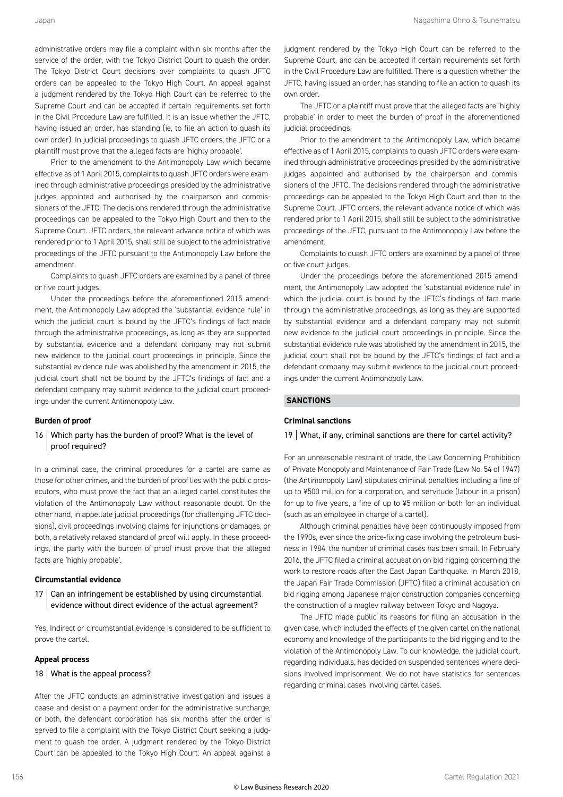administrative orders may file a complaint within six months after the service of the order, with the Tokyo District Court to quash the order. The Tokyo District Court decisions over complaints to quash JFTC orders can be appealed to the Tokyo High Court. An appeal against a judgment rendered by the Tokyo High Court can be referred to the Supreme Court and can be accepted if certain requirements set forth in the Civil Procedure Law are fulfilled. It is an issue whether the JFTC, having issued an order, has standing (ie, to file an action to quash its own order). In judicial proceedings to quash JFTC orders, the JFTC or a plaintiff must prove that the alleged facts are 'highly probable'.

Prior to the amendment to the Antimonopoly Law which became effective as of 1 April 2015, complaints to quash JFTC orders were examined through administrative proceedings presided by the administrative judges appointed and authorised by the chairperson and commissioners of the JFTC. The decisions rendered through the administrative proceedings can be appealed to the Tokyo High Court and then to the Supreme Court. JFTC orders, the relevant advance notice of which was rendered prior to 1 April 2015, shall still be subject to the administrative proceedings of the JFTC pursuant to the Antimonopoly Law before the amendment.

Complaints to quash JFTC orders are examined by a panel of three or five court judges.

Under the proceedings before the aforementioned 2015 amendment, the Antimonopoly Law adopted the 'substantial evidence rule' in which the judicial court is bound by the JFTC's findings of fact made through the administrative proceedings, as long as they are supported by substantial evidence and a defendant company may not submit new evidence to the judicial court proceedings in principle. Since the substantial evidence rule was abolished by the amendment in 2015, the judicial court shall not be bound by the JFTC's findings of fact and a defendant company may submit evidence to the judicial court proceedings under the current Antimonopoly Law.

#### **Burden of proof**

#### 16 Which party has the burden of proof? What is the level of proof required?

In a criminal case, the criminal procedures for a cartel are same as those for other crimes, and the burden of proof lies with the public prosecutors, who must prove the fact that an alleged cartel constitutes the violation of the Antimonopoly Law without reasonable doubt. On the other hand, in appellate judicial proceedings (for challenging JFTC decisions), civil proceedings involving claims for injunctions or damages, or both, a relatively relaxed standard of proof will apply. In these proceedings, the party with the burden of proof must prove that the alleged facts are 'highly probable'.

#### **Circumstantial evidence**

 $17$  Can an infringement be established by using circumstantial evidence without direct evidence of the actual agreement?

Yes. Indirect or circumstantial evidence is considered to be sufficient to prove the cartel.

#### **Appeal process**

#### 18 | What is the appeal process?

After the JFTC conducts an administrative investigation and issues a cease-and-desist or a payment order for the administrative surcharge, or both, the defendant corporation has six months after the order is served to file a complaint with the Tokyo District Court seeking a judgment to quash the order. A judgment rendered by the Tokyo District Court can be appealed to the Tokyo High Court. An appeal against a

judgment rendered by the Tokyo High Court can be referred to the Supreme Court, and can be accepted if certain requirements set forth in the Civil Procedure Law are fulfilled. There is a question whether the JFTC, having issued an order, has standing to file an action to quash its own order.

The JFTC or a plaintiff must prove that the alleged facts are 'highly probable' in order to meet the burden of proof in the aforementioned judicial proceedings.

Prior to the amendment to the Antimonopoly Law, which became effective as of 1 April 2015, complaints to quash JFTC orders were examined through administrative proceedings presided by the administrative judges appointed and authorised by the chairperson and commissioners of the JFTC. The decisions rendered through the administrative proceedings can be appealed to the Tokyo High Court and then to the Supreme Court. JFTC orders, the relevant advance notice of which was rendered prior to 1 April 2015, shall still be subject to the administrative proceedings of the JFTC, pursuant to the Antimonopoly Law before the amendment.

Complaints to quash JFTC orders are examined by a panel of three or five court judges.

Under the proceedings before the aforementioned 2015 amendment, the Antimonopoly Law adopted the 'substantial evidence rule' in which the judicial court is bound by the JFTC's findings of fact made through the administrative proceedings, as long as they are supported by substantial evidence and a defendant company may not submit new evidence to the judicial court proceedings in principle. Since the substantial evidence rule was abolished by the amendment in 2015, the judicial court shall not be bound by the JFTC's findings of fact and a defendant company may submit evidence to the judicial court proceedings under the current Antimonopoly Law.

#### **SANCTIONS**

#### **Criminal sanctions**

#### 19 | What, if any, criminal sanctions are there for cartel activity?

For an unreasonable restraint of trade, the Law Concerning Prohibition of Private Monopoly and Maintenance of Fair Trade (Law No. 54 of 1947) (the Antimonopoly Law) stipulates criminal penalties including a fine of up to ¥500 million for a corporation, and servitude (labour in a prison) for up to five years, a fine of up to ¥5 million or both for an individual (such as an employee in charge of a cartel).

Although criminal penalties have been continuously imposed from the 1990s, ever since the price-fixing case involving the petroleum business in 1984, the number of criminal cases has been small. In February 2016, the JFTC filed a criminal accusation on bid rigging concerning the work to restore roads after the East Japan Earthquake. In March 2018, the Japan Fair Trade Commission (JFTC) filed a criminal accusation on bid rigging among Japanese major construction companies concerning the construction of a maglev railway between Tokyo and Nagoya.

The JFTC made public its reasons for filing an accusation in the given case, which included the effects of the given cartel on the national economy and knowledge of the participants to the bid rigging and to the violation of the Antimonopoly Law. To our knowledge, the judicial court, regarding individuals, has decided on suspended sentences where decisions involved imprisonment. We do not have statistics for sentences regarding criminal cases involving cartel cases.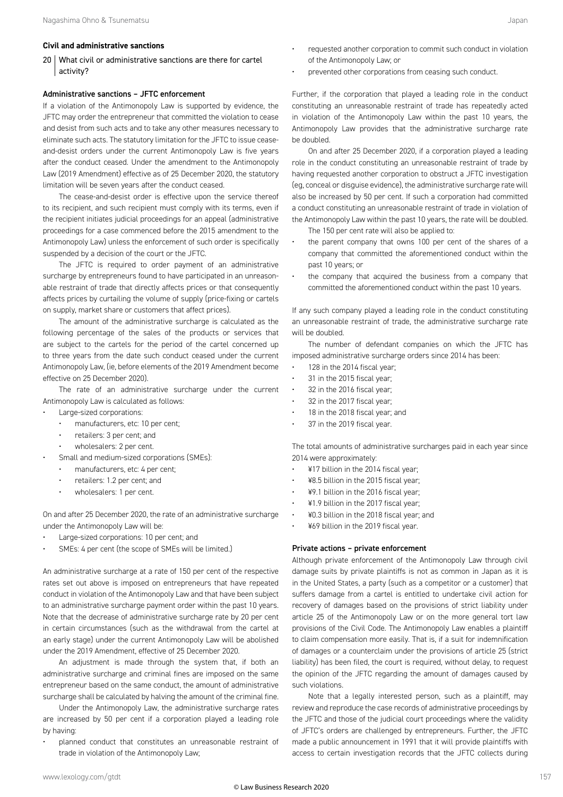#### **Civil and administrative sanctions**

20 | What civil or administrative sanctions are there for cartel activity?

#### Administrative sanctions – JFTC enforcement

If a violation of the Antimonopoly Law is supported by evidence, the JFTC may order the entrepreneur that committed the violation to cease and desist from such acts and to take any other measures necessary to eliminate such acts. The statutory limitation for the JFTC to issue ceaseand-desist orders under the current Antimonopoly Law is five years after the conduct ceased. Under the amendment to the Antimonopoly Law (2019 Amendment) effective as of 25 December 2020, the statutory limitation will be seven years after the conduct ceased.

The cease-and-desist order is effective upon the service thereof to its recipient, and such recipient must comply with its terms, even if the recipient initiates judicial proceedings for an appeal (administrative proceedings for a case commenced before the 2015 amendment to the Antimonopoly Law) unless the enforcement of such order is specifically suspended by a decision of the court or the JFTC.

The JFTC is required to order payment of an administrative surcharge by entrepreneurs found to have participated in an unreasonable restraint of trade that directly affects prices or that consequently affects prices by curtailing the volume of supply (price-fixing or cartels on supply, market share or customers that affect prices).

The amount of the administrative surcharge is calculated as the following percentage of the sales of the products or services that are subject to the cartels for the period of the cartel concerned up to three years from the date such conduct ceased under the current Antimonopoly Law, (ie, before elements of the 2019 Amendment become effective on 25 December 2020).

The rate of an administrative surcharge under the current Antimonopoly Law is calculated as follows:

- Large-sized corporations:
	- manufacturers, etc: 10 per cent;
	- retailers: 3 per cent; and
	- wholesalers: 2 per cent.
- Small and medium-sized corporations (SMEs):
	- manufacturers, etc: 4 per cent;
	- retailers: 1.2 per cent; and
	- wholesalers: 1 per cent.

On and after 25 December 2020, the rate of an administrative surcharge under the Antimonopoly Law will be:

- Large-sized corporations: 10 per cent; and
- SMEs: 4 per cent (the scope of SMEs will be limited.)

An administrative surcharge at a rate of 150 per cent of the respective rates set out above is imposed on entrepreneurs that have repeated conduct in violation of the Antimonopoly Law and that have been subject to an administrative surcharge payment order within the past 10 years. Note that the decrease of administrative surcharge rate by 20 per cent in certain circumstances (such as the withdrawal from the cartel at an early stage) under the current Antimonopoly Law will be abolished under the 2019 Amendment, effective of 25 December 2020.

An adjustment is made through the system that, if both an administrative surcharge and criminal fines are imposed on the same entrepreneur based on the same conduct, the amount of administrative surcharge shall be calculated by halving the amount of the criminal fine.

Under the Antimonopoly Law, the administrative surcharge rates are increased by 50 per cent if a corporation played a leading role by having:

• planned conduct that constitutes an unreasonable restraint of trade in violation of the Antimonopoly Law;

- requested another corporation to commit such conduct in violation of the Antimonopoly Law; or
- prevented other corporations from ceasing such conduct.

Further, if the corporation that played a leading role in the conduct constituting an unreasonable restraint of trade has repeatedly acted in violation of the Antimonopoly Law within the past 10 years, the Antimonopoly Law provides that the administrative surcharge rate be doubled.

On and after 25 December 2020, if a corporation played a leading role in the conduct constituting an unreasonable restraint of trade by having requested another corporation to obstruct a JFTC investigation (eg, conceal or disguise evidence), the administrative surcharge rate will also be increased by 50 per cent. If such a corporation had committed a conduct constituting an unreasonable restraint of trade in violation of the Antimonopoly Law within the past 10 years, the rate will be doubled.

- The 150 per cent rate will also be applied to:
- the parent company that owns 100 per cent of the shares of a company that committed the aforementioned conduct within the past 10 years; or
- the company that acquired the business from a company that committed the aforementioned conduct within the past 10 years.

If any such company played a leading role in the conduct constituting an unreasonable restraint of trade, the administrative surcharge rate will be doubled.

The number of defendant companies on which the JFTC has imposed administrative surcharge orders since 2014 has been:

- 128 in the 2014 fiscal year;
- 31 in the 2015 fiscal year;
- 32 in the 2016 fiscal year;
- 32 in the 2017 fiscal year;
- 18 in the 2018 fiscal year; and
- 37 in the 2019 fiscal year.

The total amounts of administrative surcharges paid in each year since 2014 were approximately:

- ¥17 billion in the 2014 fiscal year;
- ¥8.5 billion in the 2015 fiscal year;
- ¥9.1 billion in the 2016 fiscal year;
- ¥1.9 billion in the 2017 fiscal year;
- ¥0.3 billion in the 2018 fiscal year; and
- ¥69 billion in the 2019 fiscal year.

#### Private actions – private enforcement

Although private enforcement of the Antimonopoly Law through civil damage suits by private plaintiffs is not as common in Japan as it is in the United States, a party (such as a competitor or a customer) that suffers damage from a cartel is entitled to undertake civil action for recovery of damages based on the provisions of strict liability under article 25 of the Antimonopoly Law or on the more general tort law provisions of the Civil Code. The Antimonopoly Law enables a plaintiff to claim compensation more easily. That is, if a suit for indemnification of damages or a counterclaim under the provisions of article 25 (strict liability) has been filed, the court is required, without delay, to request the opinion of the JFTC regarding the amount of damages caused by such violations.

Note that a legally interested person, such as a plaintiff, may review and reproduce the case records of administrative proceedings by the JFTC and those of the judicial court proceedings where the validity of JFTC's orders are challenged by entrepreneurs. Further, the JFTC made a public announcement in 1991 that it will provide plaintiffs with access to certain investigation records that the JFTC collects during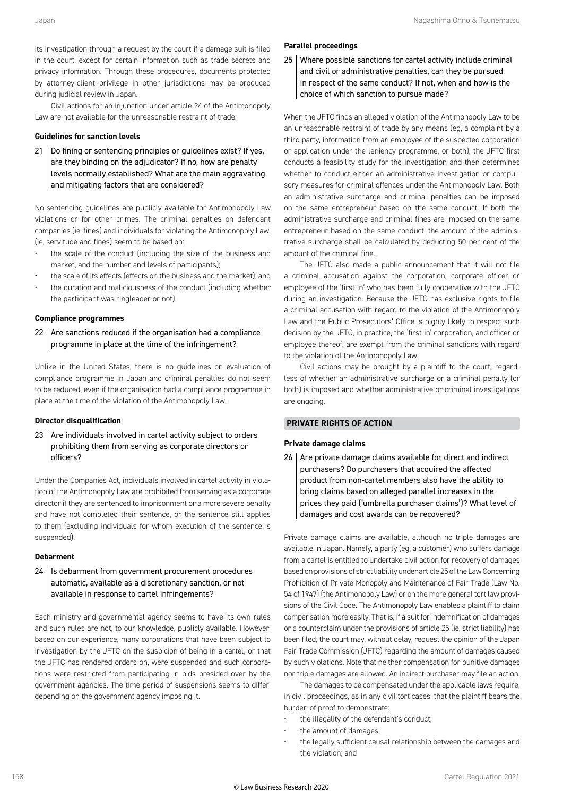its investigation through a request by the court if a damage suit is filed in the court, except for certain information such as trade secrets and privacy information. Through these procedures, documents protected by attorney-client privilege in other jurisdictions may be produced during judicial review in Japan.

Civil actions for an injunction under article 24 of the Antimonopoly Law are not available for the unreasonable restraint of trade.

#### **Guidelines for sanction levels**

21 | Do fining or sentencing principles or guidelines exist? If yes, are they binding on the adjudicator? If no, how are penalty levels normally established? What are the main aggravating and mitigating factors that are considered?

No sentencing guidelines are publicly available for Antimonopoly Law violations or for other crimes. The criminal penalties on defendant companies (ie, fines) and individuals for violating the Antimonopoly Law, (ie, servitude and fines) seem to be based on:

- the scale of the conduct (including the size of the business and market, and the number and levels of participants);
- the scale of its effects (effects on the business and the market); and • the duration and maliciousness of the conduct (including whether
- the participant was ringleader or not).

#### **Compliance programmes**

 $22$  Are sanctions reduced if the organisation had a compliance programme in place at the time of the infringement?

Unlike in the United States, there is no guidelines on evaluation of compliance programme in Japan and criminal penalties do not seem to be reduced, even if the organisation had a compliance programme in place at the time of the violation of the Antimonopoly Law.

#### **Director disqualification**

23 Are individuals involved in cartel activity subject to orders prohibiting them from serving as corporate directors or officers?

Under the Companies Act, individuals involved in cartel activity in violation of the Antimonopoly Law are prohibited from serving as a corporate director if they are sentenced to imprisonment or a more severe penalty and have not completed their sentence, or the sentence still applies to them (excluding individuals for whom execution of the sentence is suspended).

#### **Debarment**

24 | Is debarment from government procurement procedures automatic, available as a discretionary sanction, or not available in response to cartel infringements?

Each ministry and governmental agency seems to have its own rules and such rules are not, to our knowledge, publicly available. However, based on our experience, many corporations that have been subject to investigation by the JFTC on the suspicion of being in a cartel, or that the JFTC has rendered orders on, were suspended and such corporations were restricted from participating in bids presided over by the government agencies. The time period of suspensions seems to differ, depending on the government agency imposing it.

#### **Parallel proceedings**

25 Where possible sanctions for cartel activity include criminal and civil or administrative penalties, can they be pursued in respect of the same conduct? If not, when and how is the choice of which sanction to pursue made?

When the JFTC finds an alleged violation of the Antimonopoly Law to be an unreasonable restraint of trade by any means (eg, a complaint by a third party, information from an employee of the suspected corporation or application under the leniency programme, or both), the JFTC first conducts a feasibility study for the investigation and then determines whether to conduct either an administrative investigation or compulsory measures for criminal offences under the Antimonopoly Law. Both an administrative surcharge and criminal penalties can be imposed on the same entrepreneur based on the same conduct. If both the administrative surcharge and criminal fines are imposed on the same entrepreneur based on the same conduct, the amount of the administrative surcharge shall be calculated by deducting 50 per cent of the amount of the criminal fine.

The JFTC also made a public announcement that it will not file a criminal accusation against the corporation, corporate officer or employee of the 'first in' who has been fully cooperative with the JFTC during an investigation. Because the JFTC has exclusive rights to file a criminal accusation with regard to the violation of the Antimonopoly Law and the Public Prosecutors' Office is highly likely to respect such decision by the JFTC, in practice, the 'first-in' corporation, and officer or employee thereof, are exempt from the criminal sanctions with regard to the violation of the Antimonopoly Law.

Civil actions may be brought by a plaintiff to the court, regardless of whether an administrative surcharge or a criminal penalty (or both) is imposed and whether administrative or criminal investigations are ongoing.

#### **PRIVATE RIGHTS OF ACTION**

#### **Private damage claims**

 $26$  Are private damage claims available for direct and indirect purchasers? Do purchasers that acquired the affected product from non-cartel members also have the ability to bring claims based on alleged parallel increases in the prices they paid ('umbrella purchaser claims')? What level of damages and cost awards can be recovered?

Private damage claims are available, although no triple damages are available in Japan. Namely, a party (eg, a customer) who suffers damage from a cartel is entitled to undertake civil action for recovery of damages based on provisions of strict liability under article 25 of the Law Concerning Prohibition of Private Monopoly and Maintenance of Fair Trade (Law No. 54 of 1947) (the Antimonopoly Law) or on the more general tort law provisions of the Civil Code. The Antimonopoly Law enables a plaintiff to claim compensation more easily. That is, if a suit for indemnification of damages or a counterclaim under the provisions of article 25 (ie, strict liability) has been filed, the court may, without delay, request the opinion of the Japan Fair Trade Commission (JFTC) regarding the amount of damages caused by such violations. Note that neither compensation for punitive damages nor triple damages are allowed. An indirect purchaser may file an action.

The damages to be compensated under the applicable laws require, in civil proceedings, as in any civil tort cases, that the plaintiff bears the burden of proof to demonstrate:

- the illegality of the defendant's conduct;
- the amount of damages;
- the legally sufficient causal relationship between the damages and the violation; and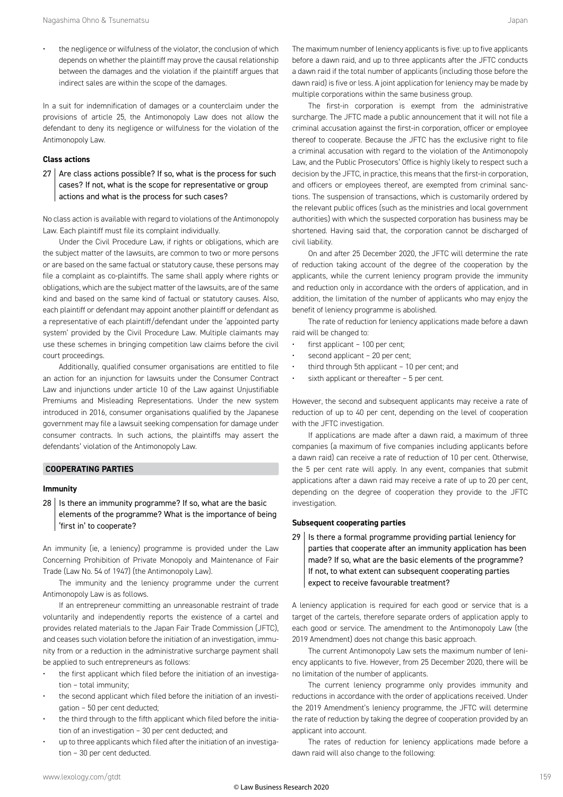the negligence or wilfulness of the violator, the conclusion of which depends on whether the plaintiff may prove the causal relationship between the damages and the violation if the plaintiff argues that indirect sales are within the scope of the damages.

In a suit for indemnification of damages or a counterclaim under the provisions of article 25, the Antimonopoly Law does not allow the defendant to deny its negligence or wilfulness for the violation of the Antimonopoly Law.

#### **Class actions**

 $27$  Are class actions possible? If so, what is the process for such cases? If not, what is the scope for representative or group actions and what is the process for such cases?

No class action is available with regard to violations of the Antimonopoly Law. Each plaintiff must file its complaint individually.

Under the Civil Procedure Law, if rights or obligations, which are the subject matter of the lawsuits, are common to two or more persons or are based on the same factual or statutory cause, these persons may file a complaint as co-plaintiffs. The same shall apply where rights or obligations, which are the subject matter of the lawsuits, are of the same kind and based on the same kind of factual or statutory causes. Also, each plaintiff or defendant may appoint another plaintiff or defendant as a representative of each plaintiff/defendant under the 'appointed party system' provided by the Civil Procedure Law. Multiple claimants may use these schemes in bringing competition law claims before the civil court proceedings.

Additionally, qualified consumer organisations are entitled to file an action for an injunction for lawsuits under the Consumer Contract Law and injunctions under article 10 of the Law against Unjustifiable Premiums and Misleading Representations. Under the new system introduced in 2016, consumer organisations qualified by the Japanese government may file a lawsuit seeking compensation for damage under consumer contracts. In such actions, the plaintiffs may assert the defendants' violation of the Antimonopoly Law.

#### **COOPERATING PARTIES**

#### **Immunity**

 $28$  | Is there an immunity programme? If so, what are the basic elements of the programme? What is the importance of being 'first in' to cooperate?

An immunity (ie, a leniency) programme is provided under the Law Concerning Prohibition of Private Monopoly and Maintenance of Fair Trade (Law No. 54 of 1947) (the Antimonopoly Law).

The immunity and the leniency programme under the current Antimonopoly Law is as follows.

If an entrepreneur committing an unreasonable restraint of trade voluntarily and independently reports the existence of a cartel and provides related materials to the Japan Fair Trade Commission (JFTC), and ceases such violation before the initiation of an investigation, immunity from or a reduction in the administrative surcharge payment shall be applied to such entrepreneurs as follows:

- the first applicant which filed before the initiation of an investigation – total immunity;
- the second applicant which filed before the initiation of an investigation – 50 per cent deducted;
- the third through to the fifth applicant which filed before the initiation of an investigation – 30 per cent deducted; and
- up to three applicants which filed after the initiation of an investigation – 30 per cent deducted.

The maximum number of leniency applicants is five: up to five applicants before a dawn raid, and up to three applicants after the JFTC conducts a dawn raid if the total number of applicants (including those before the dawn raid) is five or less. A joint application for leniency may be made by multiple corporations within the same business group.

The first-in corporation is exempt from the administrative surcharge. The JFTC made a public announcement that it will not file a criminal accusation against the first-in corporation, officer or employee thereof to cooperate. Because the JFTC has the exclusive right to file a criminal accusation with regard to the violation of the Antimonopoly Law, and the Public Prosecutors' Office is highly likely to respect such a decision by the JFTC, in practice, this means that the first-in corporation, and officers or employees thereof, are exempted from criminal sanctions. The suspension of transactions, which is customarily ordered by the relevant public offices (such as the ministries and local government authorities) with which the suspected corporation has business may be shortened. Having said that, the corporation cannot be discharged of civil liability.

On and after 25 December 2020, the JFTC will determine the rate of reduction taking account of the degree of the cooperation by the applicants, while the current leniency program provide the immunity and reduction only in accordance with the orders of application, and in addition, the limitation of the number of applicants who may enjoy the benefit of leniency programme is abolished.

The rate of reduction for leniency applications made before a dawn raid will be changed to:

- first applicant 100 per cent;
- second applicant 20 per cent;
- third through 5th applicant 10 per cent; and
- sixth applicant or thereafter 5 per cent.

However, the second and subsequent applicants may receive a rate of reduction of up to 40 per cent, depending on the level of cooperation with the JFTC investigation.

If applications are made after a dawn raid, a maximum of three companies (a maximum of five companies including applicants before a dawn raid) can receive a rate of reduction of 10 per cent. Otherwise, the 5 per cent rate will apply. In any event, companies that submit applications after a dawn raid may receive a rate of up to 20 per cent, depending on the degree of cooperation they provide to the JFTC investigation.

#### **Subsequent cooperating parties**

 $29$  | Is there a formal programme providing partial leniency for parties that cooperate after an immunity application has been made? If so, what are the basic elements of the programme? If not, to what extent can subsequent cooperating parties expect to receive favourable treatment?

A leniency application is required for each good or service that is a target of the cartels, therefore separate orders of application apply to each good or service. The amendment to the Antimonopoly Law (the 2019 Amendment) does not change this basic approach.

The current Antimonopoly Law sets the maximum number of leniency applicants to five. However, from 25 December 2020, there will be no limitation of the number of applicants.

The current leniency programme only provides immunity and reductions in accordance with the order of applications received. Under the 2019 Amendment's leniency programme, the JFTC will determine the rate of reduction by taking the degree of cooperation provided by an applicant into account.

The rates of reduction for leniency applications made before a dawn raid will also change to the following: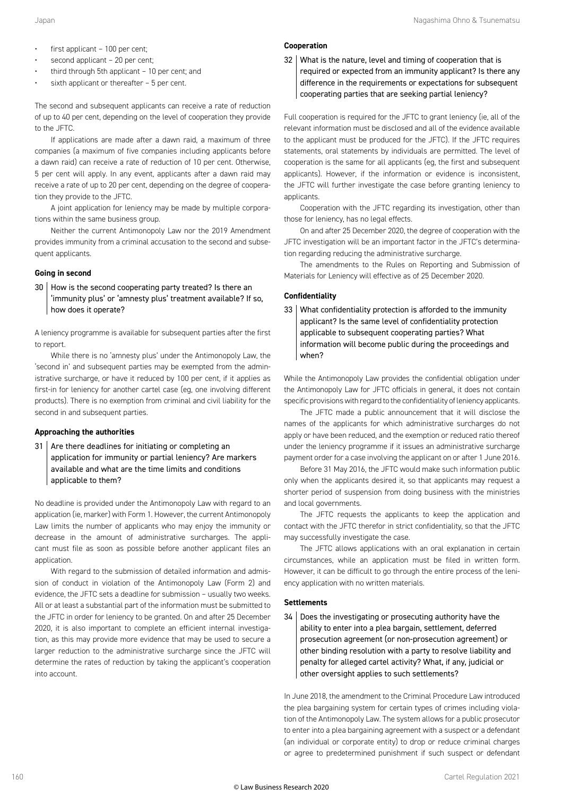- $first$  applicant  $-100$  per cent;
- second applicant 20 per cent;
- third through 5th applicant  $-10$  per cent; and
- sixth applicant or thereafter  $-5$  per cent.

The second and subsequent applicants can receive a rate of reduction of up to 40 per cent, depending on the level of cooperation they provide to the JFTC.

If applications are made after a dawn raid, a maximum of three companies (a maximum of five companies including applicants before a dawn raid) can receive a rate of reduction of 10 per cent. Otherwise, 5 per cent will apply. In any event, applicants after a dawn raid may receive a rate of up to 20 per cent, depending on the degree of cooperation they provide to the JFTC.

A joint application for leniency may be made by multiple corporations within the same business group.

Neither the current Antimonopoly Law nor the 2019 Amendment provides immunity from a criminal accusation to the second and subsequent applicants.

#### **Going in second**

30 How is the second cooperating party treated? Is there an 'immunity plus' or 'amnesty plus' treatment available? If so, how does it operate?

A leniency programme is available for subsequent parties after the first to report.

While there is no 'amnesty plus' under the Antimonopoly Law, the 'second in' and subsequent parties may be exempted from the administrative surcharge, or have it reduced by 100 per cent, if it applies as first-in for leniency for another cartel case (eg, one involving different products). There is no exemption from criminal and civil liability for the second in and subsequent parties.

#### **Approaching the authorities**

 $31$  Are there deadlines for initiating or completing an application for immunity or partial leniency? Are markers available and what are the time limits and conditions applicable to them?

No deadline is provided under the Antimonopoly Law with regard to an application (ie, marker) with Form 1. However, the current Antimonopoly Law limits the number of applicants who may enjoy the immunity or decrease in the amount of administrative surcharges. The applicant must file as soon as possible before another applicant files an application.

With regard to the submission of detailed information and admission of conduct in violation of the Antimonopoly Law (Form 2) and evidence, the JFTC sets a deadline for submission – usually two weeks. All or at least a substantial part of the information must be submitted to the JFTC in order for leniency to be granted. On and after 25 December 2020, it is also important to complete an efficient internal investigation, as this may provide more evidence that may be used to secure a larger reduction to the administrative surcharge since the JFTC will determine the rates of reduction by taking the applicant's cooperation into account.

#### **Cooperation**

32 What is the nature, level and timing of cooperation that is required or expected from an immunity applicant? Is there any difference in the requirements or expectations for subsequent cooperating parties that are seeking partial leniency?

Full cooperation is required for the JFTC to grant leniency (ie, all of the relevant information must be disclosed and all of the evidence available to the applicant must be produced for the JFTC). If the JFTC requires statements, oral statements by individuals are permitted. The level of cooperation is the same for all applicants (eg, the first and subsequent applicants). However, if the information or evidence is inconsistent, the JFTC will further investigate the case before granting leniency to applicants.

Cooperation with the JFTC regarding its investigation, other than those for leniency, has no legal effects.

On and after 25 December 2020, the degree of cooperation with the JFTC investigation will be an important factor in the JFTC's determination regarding reducing the administrative surcharge.

The amendments to the Rules on Reporting and Submission of Materials for Leniency will effective as of 25 December 2020.

#### **Confidentiality**

33 What confidentiality protection is afforded to the immunity applicant? Is the same level of confidentiality protection applicable to subsequent cooperating parties? What information will become public during the proceedings and when?

While the Antimonopoly Law provides the confidential obligation under the Antimonopoly Law for JFTC officials in general, it does not contain specific provisions with regard to the confidentiality of leniency applicants.

The JFTC made a public announcement that it will disclose the names of the applicants for which administrative surcharges do not apply or have been reduced, and the exemption or reduced ratio thereof under the leniency programme if it issues an administrative surcharge payment order for a case involving the applicant on or after 1 June 2016.

Before 31 May 2016, the JFTC would make such information public only when the applicants desired it, so that applicants may request a shorter period of suspension from doing business with the ministries and local governments.

The JFTC requests the applicants to keep the application and contact with the JFTC therefor in strict confidentiality, so that the JFTC may successfully investigate the case.

The JFTC allows applications with an oral explanation in certain circumstances, while an application must be filed in written form. However, it can be difficult to go through the entire process of the leniency application with no written materials.

#### **Settlements**

34 Does the investigating or prosecuting authority have the ability to enter into a plea bargain, settlement, deferred prosecution agreement (or non-prosecution agreement) or other binding resolution with a party to resolve liability and penalty for alleged cartel activity? What, if any, judicial or other oversight applies to such settlements?

In June 2018, the amendment to the Criminal Procedure Law introduced the plea bargaining system for certain types of crimes including violation of the Antimonopoly Law. The system allows for a public prosecutor to enter into a plea bargaining agreement with a suspect or a defendant (an individual or corporate entity) to drop or reduce criminal charges or agree to predetermined punishment if such suspect or defendant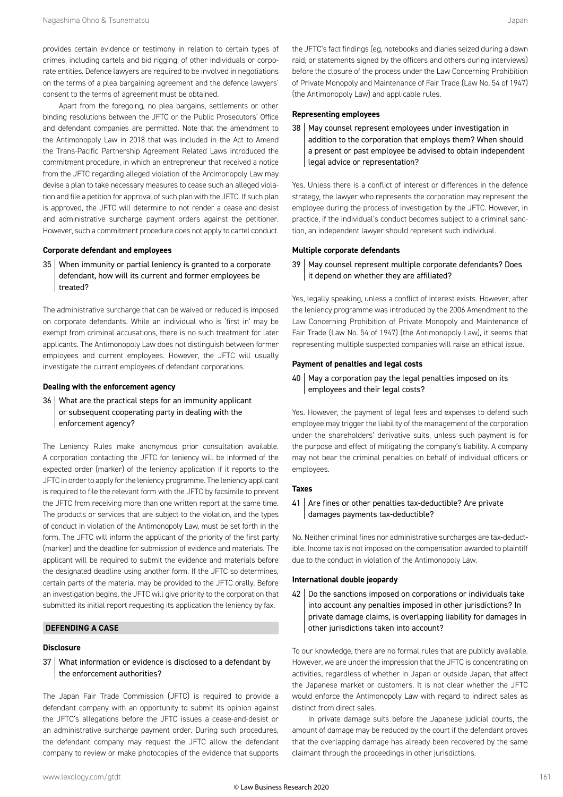provides certain evidence or testimony in relation to certain types of crimes, including cartels and bid rigging, of other individuals or corporate entities. Defence lawyers are required to be involved in negotiations on the terms of a plea bargaining agreement and the defence lawyers' consent to the terms of agreement must be obtained.

Apart from the foregoing, no plea bargains, settlements or other binding resolutions between the JFTC or the Public Prosecutors' Office and defendant companies are permitted. Note that the amendment to the Antimonopoly Law in 2018 that was included in the Act to Amend the Trans-Pacific Partnership Agreement Related Laws introduced the commitment procedure, in which an entrepreneur that received a notice from the JFTC regarding alleged violation of the Antimonopoly Law may devise a plan to take necessary measures to cease such an alleged violation and file a petition for approval of such plan with the JFTC. If such plan is approved, the JFTC will determine to not render a cease-and-desist and administrative surcharge payment orders against the petitioner. However, such a commitment procedure does not apply to cartel conduct.

#### **Corporate defendant and employees**

35 When immunity or partial leniency is granted to a corporate defendant, how will its current and former employees be treated?

The administrative surcharge that can be waived or reduced is imposed on corporate defendants. While an individual who is 'first in' may be exempt from criminal accusations, there is no such treatment for later applicants. The Antimonopoly Law does not distinguish between former employees and current employees. However, the JFTC will usually investigate the current employees of defendant corporations.

#### **Dealing with the enforcement agency**

36 What are the practical steps for an immunity applicant or subsequent cooperating party in dealing with the enforcement agency?

The Leniency Rules make anonymous prior consultation available. A corporation contacting the JFTC for leniency will be informed of the expected order (marker) of the leniency application if it reports to the JFTC in order to apply for the leniency programme. The leniency applicant is required to file the relevant form with the JFTC by facsimile to prevent the JFTC from receiving more than one written report at the same time. The products or services that are subject to the violation, and the types of conduct in violation of the Antimonopoly Law, must be set forth in the form. The JFTC will inform the applicant of the priority of the first party (marker) and the deadline for submission of evidence and materials. The applicant will be required to submit the evidence and materials before the designated deadline using another form. If the JFTC so determines, certain parts of the material may be provided to the JFTC orally. Before an investigation begins, the JFTC will give priority to the corporation that submitted its initial report requesting its application the leniency by fax.

#### **DEFENDING A CASE**

#### **Disclosure**

37 What information or evidence is disclosed to a defendant by the enforcement authorities?

The Japan Fair Trade Commission (JFTC) is required to provide a defendant company with an opportunity to submit its opinion against the JFTC's allegations before the JFTC issues a cease-and-desist or an administrative surcharge payment order. During such procedures, the defendant company may request the JFTC allow the defendant company to review or make photocopies of the evidence that supports the JFTC's fact findings (eg, notebooks and diaries seized during a dawn raid, or statements signed by the officers and others during interviews) before the closure of the process under the Law Concerning Prohibition of Private Monopoly and Maintenance of Fair Trade (Law No. 54 of 1947) (the Antimonopoly Law) and applicable rules.

#### **Representing employees**

38 | May counsel represent employees under investigation in addition to the corporation that employs them? When should a present or past employee be advised to obtain independent legal advice or representation?

Yes. Unless there is a conflict of interest or differences in the defence strategy, the lawyer who represents the corporation may represent the employee during the process of investigation by the JFTC. However, in practice, if the individual's conduct becomes subject to a criminal sanction, an independent lawyer should represent such individual.

#### **Multiple corporate defendants**

39 | May counsel represent multiple corporate defendants? Does it depend on whether they are affiliated?

Yes, legally speaking, unless a conflict of interest exists. However, after the leniency programme was introduced by the 2006 Amendment to the Law Concerning Prohibition of Private Monopoly and Maintenance of Fair Trade (Law No. 54 of 1947) (the Antimonopoly Law), it seems that representing multiple suspected companies will raise an ethical issue.

#### **Payment of penalties and legal costs**

40 | May a corporation pay the legal penalties imposed on its employees and their legal costs?

Yes. However, the payment of legal fees and expenses to defend such employee may trigger the liability of the management of the corporation under the shareholders' derivative suits, unless such payment is for the purpose and effect of mitigating the company's liability. A company may not bear the criminal penalties on behalf of individual officers or employees.

#### **Taxes**

#### 41 | Are fines or other penalties tax-deductible? Are private damages payments tax-deductible?

No. Neither criminal fines nor administrative surcharges are tax-deductible. Income tax is not imposed on the compensation awarded to plaintiff due to the conduct in violation of the Antimonopoly Law.

#### **International double jeopardy**

 $42$  Do the sanctions imposed on corporations or individuals take into account any penalties imposed in other jurisdictions? In private damage claims, is overlapping liability for damages in other jurisdictions taken into account?

To our knowledge, there are no formal rules that are publicly available. However, we are under the impression that the JFTC is concentrating on activities, regardless of whether in Japan or outside Japan, that affect the Japanese market or customers. It is not clear whether the JFTC would enforce the Antimonopoly Law with regard to indirect sales as distinct from direct sales.

In private damage suits before the Japanese judicial courts, the amount of damage may be reduced by the court if the defendant proves that the overlapping damage has already been recovered by the same claimant through the proceedings in other jurisdictions.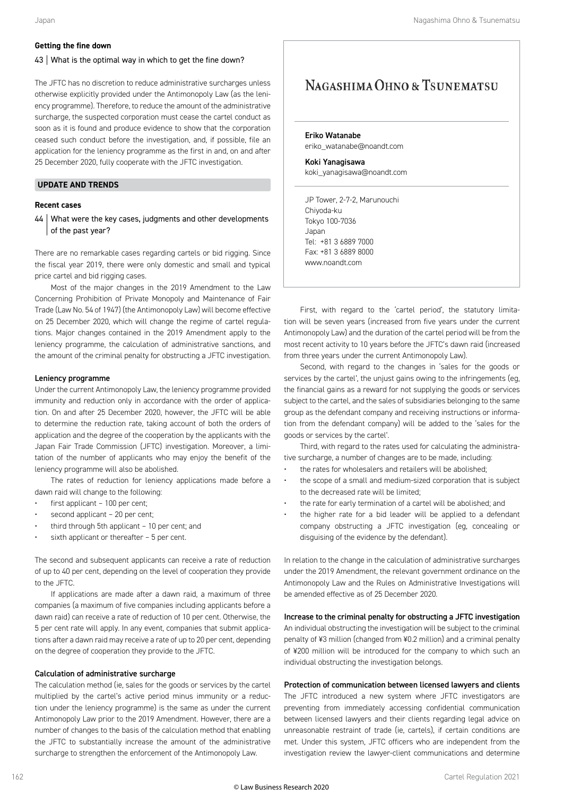#### **Getting the fine down**

#### $43$  What is the optimal way in which to get the fine down?

The JFTC has no discretion to reduce administrative surcharges unless otherwise explicitly provided under the Antimonopoly Law (as the leniency programme). Therefore, to reduce the amount of the administrative surcharge, the suspected corporation must cease the cartel conduct as soon as it is found and produce evidence to show that the corporation ceased such conduct before the investigation, and, if possible, file an application for the leniency programme as the first in and, on and after 25 December 2020, fully cooperate with the JFTC investigation.

#### **UPDATE AND TRENDS**

#### **Recent cases**

44 | What were the key cases, judgments and other developments of the past year?

There are no remarkable cases regarding cartels or bid rigging. Since the fiscal year 2019, there were only domestic and small and typical price cartel and bid rigging cases.

Most of the major changes in the 2019 Amendment to the Law Concerning Prohibition of Private Monopoly and Maintenance of Fair Trade (Law No. 54 of 1947) (the Antimonopoly Law) will become effective on 25 December 2020, which will change the regime of cartel regulations. Major changes contained in the 2019 Amendment apply to the leniency programme, the calculation of administrative sanctions, and the amount of the criminal penalty for obstructing a JFTC investigation.

#### Leniency programme

Under the current Antimonopoly Law, the leniency programme provided immunity and reduction only in accordance with the order of application. On and after 25 December 2020, however, the JFTC will be able to determine the reduction rate, taking account of both the orders of application and the degree of the cooperation by the applicants with the Japan Fair Trade Commission (JFTC) investigation. Moreover, a limitation of the number of applicants who may enjoy the benefit of the leniency programme will also be abolished.

The rates of reduction for leniency applications made before a dawn raid will change to the following:

- first applicant 100 per cent;
- second applicant 20 per cent;
- third through 5th applicant 10 per cent; and
- sixth applicant or thereafter 5 per cent.

The second and subsequent applicants can receive a rate of reduction of up to 40 per cent, depending on the level of cooperation they provide to the JFTC.

If applications are made after a dawn raid, a maximum of three companies (a maximum of five companies including applicants before a dawn raid) can receive a rate of reduction of 10 per cent. Otherwise, the 5 per cent rate will apply. In any event, companies that submit applications after a dawn raid may receive a rate of up to 20 per cent, depending on the degree of cooperation they provide to the JFTC.

#### Calculation of administrative surcharge

The calculation method (ie, sales for the goods or services by the cartel multiplied by the cartel's active period minus immunity or a reduction under the leniency programme) is the same as under the current Antimonopoly Law prior to the 2019 Amendment. However, there are a number of changes to the basis of the calculation method that enabling the JFTC to substantially increase the amount of the administrative surcharge to strengthen the enforcement of the Antimonopoly Law.

#### NAGASHIMA OHNO & TSUNEMATSU

Eriko Watanabe eriko\_watanabe@noandt.com

Koki Yanagisawa koki\_yanagisawa@noandt.com

JP Tower, 2-7-2, Marunouchi Chiyoda-ku Tokyo 100-7036 Japan Tel: +81 3 6889 7000 Fax: +81 3 6889 8000 www.noandt.com

First, with regard to the 'cartel period', the statutory limitation will be seven years (increased from five years under the current Antimonopoly Law) and the duration of the cartel period will be from the most recent activity to 10 years before the JFTC's dawn raid (increased from three years under the current Antimonopoly Law).

Second, with regard to the changes in 'sales for the goods or services by the cartel', the unjust gains owing to the infringements (eg, the financial gains as a reward for not supplying the goods or services subject to the cartel, and the sales of subsidiaries belonging to the same group as the defendant company and receiving instructions or information from the defendant company) will be added to the 'sales for the goods or services by the cartel'.

Third, with regard to the rates used for calculating the administrative surcharge, a number of changes are to be made, including:

- the rates for wholesalers and retailers will be abolished;
- the scope of a small and medium-sized corporation that is subject to the decreased rate will be limited;
- the rate for early termination of a cartel will be abolished; and
- the higher rate for a bid leader will be applied to a defendant company obstructing a JFTC investigation (eg, concealing or disguising of the evidence by the defendant).

In relation to the change in the calculation of administrative surcharges under the 2019 Amendment, the relevant government ordinance on the Antimonopoly Law and the Rules on Administrative Investigations will be amended effective as of 25 December 2020.

#### Increase to the criminal penalty for obstructing a JFTC investigation

An individual obstructing the investigation will be subject to the criminal penalty of ¥3 million (changed from ¥0.2 million) and a criminal penalty of ¥200 million will be introduced for the company to which such an individual obstructing the investigation belongs.

#### Protection of communication between licensed lawyers and clients

The JFTC introduced a new system where JFTC investigators are preventing from immediately accessing confidential communication between licensed lawyers and their clients regarding legal advice on unreasonable restraint of trade (ie, cartels), if certain conditions are met. Under this system, JFTC officers who are independent from the investigation review the lawyer-client communications and determine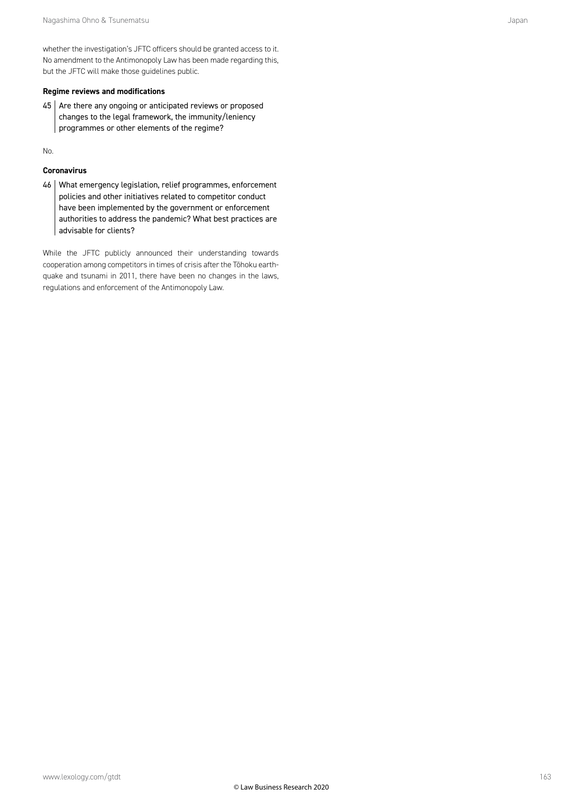whether the investigation's JFTC officers should be granted access to it. No amendment to the Antimonopoly Law has been made regarding this, but the JFTC will make those guidelines public.

#### **Regime reviews and modifications**

45 Are there any ongoing or anticipated reviews or proposed changes to the legal framework, the immunity/leniency programmes or other elements of the regime?

No.

#### **Coronavirus**

46 | What emergency legislation, relief programmes, enforcement policies and other initiatives related to competitor conduct have been implemented by the government or enforcement authorities to address the pandemic? What best practices are advisable for clients?

While the JFTC publicly announced their understanding towards cooperation among competitors in times of crisis after the Tōhoku earthquake and tsunami in 2011, there have been no changes in the laws, regulations and enforcement of the Antimonopoly Law.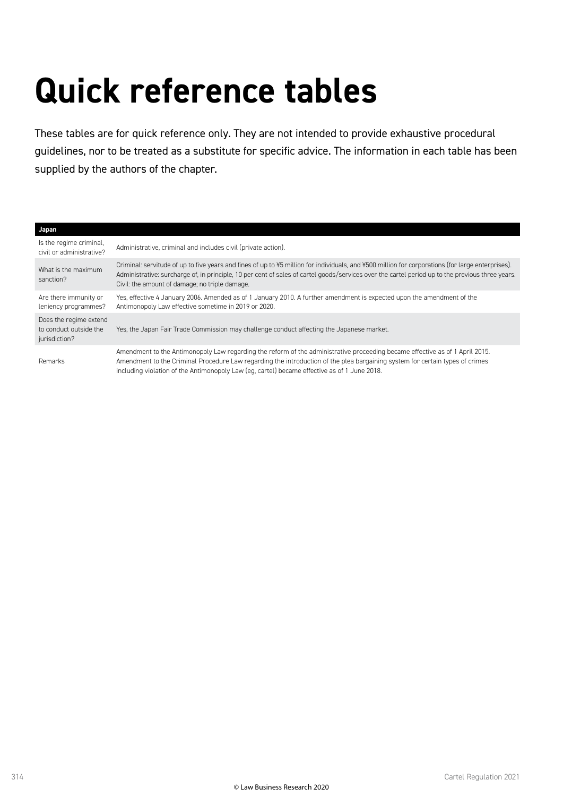## **Quick reference tables**

These tables are for quick reference only. They are not intended to provide exhaustive procedural guidelines, nor to be treated as a substitute for specific advice. The information in each table has been supplied by the authors of the chapter.

#### **Japan** Is the regime criminal, is the regime criminal,<br>civil or administrative? Administrative, criminal and includes civil (private action). What is the maximum sanction? Criminal: servitude of up to five years and fines of up to ¥5 million for individuals, and ¥500 million for corporations (for large enterprises). Administrative: surcharge of, in principle, 10 per cent of sales of cartel goods/services over the cartel period up to the previous three years. Civil: the amount of damage; no triple damage. Are there immunity or leniency programmes? Yes, effective 4 January 2006. Amended as of 1 January 2010. A further amendment is expected upon the amendment of the Antimonopoly Law effective sometime in 2019 or 2020. Does the regime extend to conduct outside the jurisdiction? Yes, the Japan Fair Trade Commission may challenge conduct affecting the Japanese market. Remarks Amendment to the Antimonopoly Law regarding the reform of the administrative proceeding became effective as of 1 April 2015. Amendment to the Criminal Procedure Law regarding the introduction of the plea bargaining system for certain types of crimes including violation of the Antimonopoly Law (eg, cartel) became effective as of 1 June 2018.